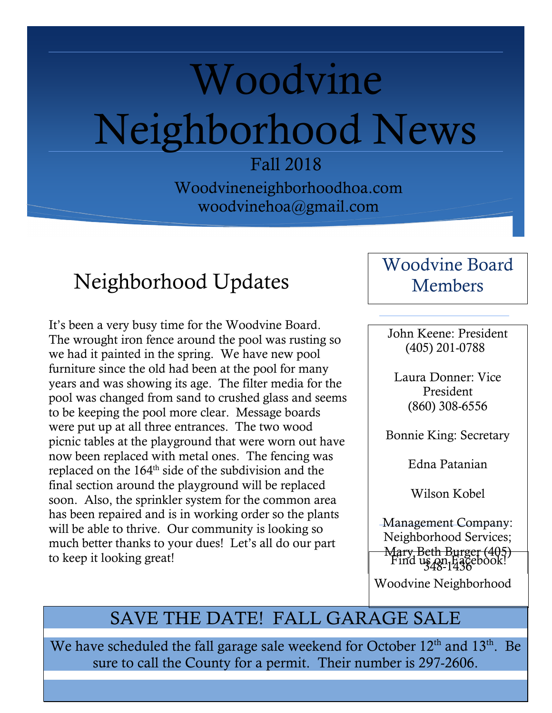# Woodvine Neighborhood News

Fall 2018

Woodvineneighborhoodhoa.com woodvinehoa@gmail.com

### Neighborhood Updates

It's been a very busy time for the Woodvine Board. The wrought iron fence around the pool was rusting so we had it painted in the spring. We have new pool furniture since the old had been at the pool for many years and was showing its age. The filter media for the pool was changed from sand to crushed glass and seems to be keeping the pool more clear. Message boards were put up at all three entrances. The two wood picnic tables at the playground that were worn out have now been replaced with metal ones. The fencing was replaced on the 164th side of the subdivision and the final section around the playground will be replaced soon. Also, the sprinkler system for the common area has been repaired and is in working order so the plants will be able to thrive. Our community is looking so much better thanks to your dues! Let's all do our part to keep it looking great!

#### Woodvine Board Members

John Keene: President (405) 201-0788

Laura Donner: Vice President (860) 308-6556

Bonnie King: Secretary

Edna Patanian

Wilson Kobel

Management Company: Neighborhood Services; Mary Beth Burger (405)  $\lim_{348-1436}$  Find us  $\lim_{348-1436}$ 

Woodvine Neighborhood

#### SAVE THE DATE! FALL GARAGE SALE

We have scheduled the fall garage sale weekend for October 12<sup>th</sup> and 13<sup>th</sup>. Be sure to call the County for a permit. Their number is 297-2606.